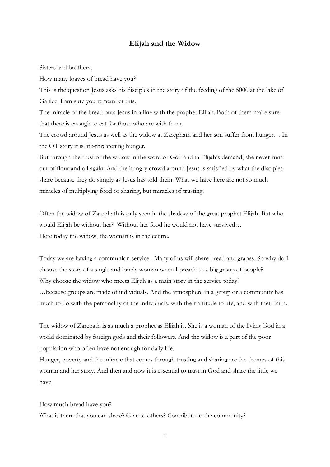## **Elijah and the Widow**

Sisters and brothers,

How many loaves of bread have you?

This is the question Jesus asks his disciples in the story of the feeding of the 5000 at the lake of Galilee. I am sure you remember this.

The miracle of the bread puts Jesus in a line with the prophet Elijah. Both of them make sure that there is enough to eat for those who are with them.

The crowd around Jesus as well as the widow at Zarephath and her son suffer from hunger… In the OT story it is life-threatening hunger.

But through the trust of the widow in the word of God and in Elijah's demand, she never runs out of flour and oil again. And the hungry crowd around Jesus is satisfied by what the disciples share because they do simply as Jesus has told them. What we have here are not so much miracles of multiplying food or sharing, but miracles of trusting.

Often the widow of Zarephath is only seen in the shadow of the great prophet Elijah. But who would Elijah be without her? Without her food he would not have survived… Here today the widow, the woman is in the centre.

Today we are having a communion service. Many of us will share bread and grapes. So why do I choose the story of a single and lonely woman when I preach to a big group of people? Why choose the widow who meets Elijah as a main story in the service today? …because groups are made of individuals. And the atmosphere in a group or a community has much to do with the personality of the individuals, with their attitude to life, and with their faith.

The widow of Zarepath is as much a prophet as Elijah is. She is a woman of the living God in a world dominated by foreign gods and their followers. And the widow is a part of the poor population who often have not enough for daily life.

Hunger, poverty and the miracle that comes through trusting and sharing are the themes of this woman and her story. And then and now it is essential to trust in God and share the little we have.

How much bread have you?

What is there that you can share? Give to others? Contribute to the community?

1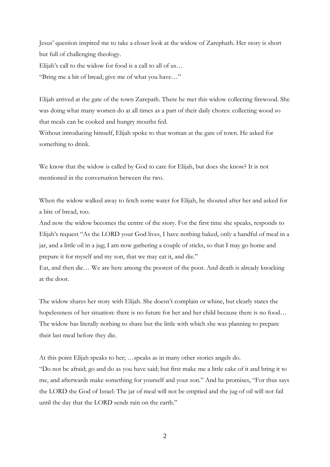Jesus' question inspired me to take a closer look at the widow of Zarephath. Her story is short but full of challenging theology. Elijah's call to the widow for food is a call to all of us…

"Bring me a bit of bread; give me of what you have…"

Elijah arrived at the gate of the town Zarepath. There he met this widow collecting firewood. She was doing what many women do at all times as a part of their daily chores: collecting wood so that meals can be cooked and hungry mouths fed.

Without introducing himself, Elijah spoke to that woman at the gate of town. He asked for something to drink.

We know that the widow is called by God to care for Elijah, but does she know? It is not mentioned in the conversation between the two.

When the widow walked away to fetch some water for Elijah, he shouted after her and asked for a bite of bread, too.

And now the widow becomes the centre of the story. For the first time she speaks, responds to Elijah's request "As the LORD your God lives, I have nothing baked, only a handful of meal in a jar, and a little oil in a jug; I am now gathering a couple of sticks, so that I may go home and prepare it for myself and my son, that we may eat it, and die."

Eat, and then die… We are here among the poorest of the poor. And death is already knocking at the door.

The widow shares her story with Elijah. She doesn't complain or whine, but clearly states the hopelessness of her situation: there is no future for her and her child because there is no food… The widow has literally nothing to share but the little with which she was planning to prepare their last meal before they die.

At this point Elijah speaks to her; …speaks as in many other stories angels do. "Do not be afraid; go and do as you have said; but first make me a little cake of it and bring it to me, and afterwards make something for yourself and your son." And he promises, "For thus says the LORD the God of Israel: The jar of meal will not be emptied and the jug of oil will not fail until the day that the LORD sends rain on the earth."